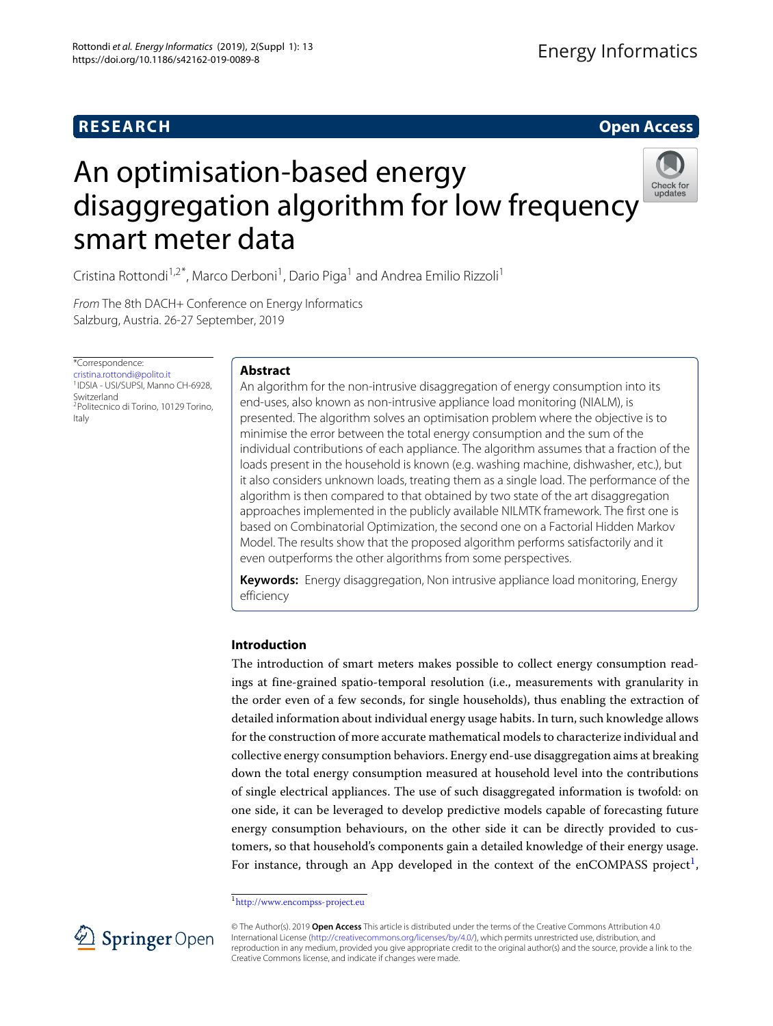# **RESEARCH Open Access**

# An optimisation-based energy disaggregation algorithm for low frequency smart meter data



Cristina Rottondi<sup>1,2\*</sup>, Marco Derboni<sup>1</sup>, Dario Piga<sup>1</sup> and Andrea Emilio Rizzoli<sup>1</sup>

From The 8th DACH+ Conference on Energy Informatics Salzburg, Austria. 26-27 September, 2019

\*Correspondence: [cristina.rottondi@polito.it](mailto: cristina.rottondi@polito.it) 1IDSIA - USI/SUPSI, Manno CH-6928, Switzerland 2Politecnico di Torino, 10129 Torino, Italy

# **Abstract**

An algorithm for the non-intrusive disaggregation of energy consumption into its end-uses, also known as non-intrusive appliance load monitoring (NIALM), is presented. The algorithm solves an optimisation problem where the objective is to minimise the error between the total energy consumption and the sum of the individual contributions of each appliance. The algorithm assumes that a fraction of the loads present in the household is known (e.g. washing machine, dishwasher, etc.), but it also considers unknown loads, treating them as a single load. The performance of the algorithm is then compared to that obtained by two state of the art disaggregation approaches implemented in the publicly available NILMTK framework. The first one is based on Combinatorial Optimization, the second one on a Factorial Hidden Markov Model. The results show that the proposed algorithm performs satisfactorily and it even outperforms the other algorithms from some perspectives.

**Keywords:** Energy disaggregation, Non intrusive appliance load monitoring, Energy efficiency

# **Introduction**

The introduction of smart meters makes possible to collect energy consumption readings at fine-grained spatio-temporal resolution (i.e., measurements with granularity in the order even of a few seconds, for single households), thus enabling the extraction of detailed information about individual energy usage habits. In turn, such knowledge allows for the construction of more accurate mathematical models to characterize individual and collective energy consumption behaviors. Energy end-use disaggregation aims at breaking down the total energy consumption measured at household level into the contributions of single electrical appliances. The use of such disaggregated information is twofold: on one side, it can be leveraged to develop predictive models capable of forecasting future energy consumption behaviours, on the other side it can be directly provided to customers, so that household's components gain a detailed knowledge of their energy usage. For instance, through an App developed in the context of the enCOMPASS project<sup>[1](#page-0-0)</sup>,

<span id="page-0-0"></span><sup>1</sup><http://www.encompss-project.eu>



<sup>©</sup> The Author(s). 2019 **Open Access** This article is distributed under the terms of the Creative Commons Attribution 4.0 International License [\(http://creativecommons.org/licenses/by/4.0/\)](http://creativecommons.org/licenses/by/4.0/), which permits unrestricted use, distribution, and reproduction in any medium, provided you give appropriate credit to the original author(s) and the source, provide a link to the Creative Commons license, and indicate if changes were made.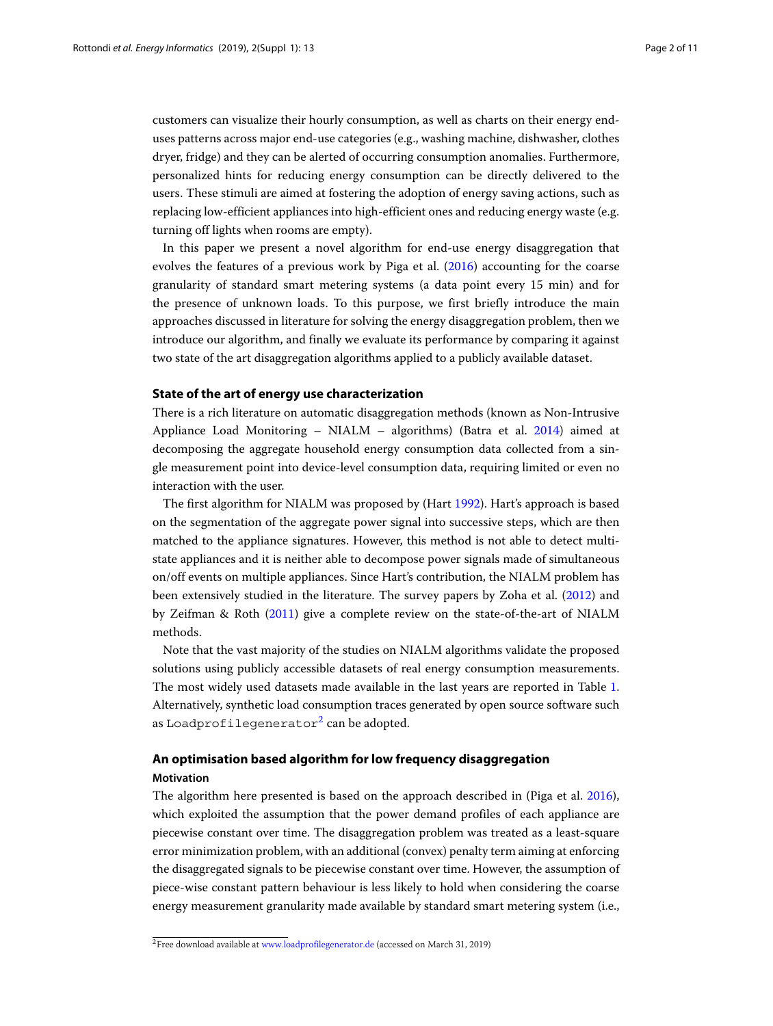customers can visualize their hourly consumption, as well as charts on their energy enduses patterns across major end-use categories (e.g., washing machine, dishwasher, clothes dryer, fridge) and they can be alerted of occurring consumption anomalies. Furthermore, personalized hints for reducing energy consumption can be directly delivered to the users. These stimuli are aimed at fostering the adoption of energy saving actions, such as replacing low-efficient appliances into high-efficient ones and reducing energy waste (e.g. turning off lights when rooms are empty).

In this paper we present a novel algorithm for end-use energy disaggregation that evolves the features of a previous work by Piga et al. [\(2016\)](#page-10-0) accounting for the coarse granularity of standard smart metering systems (a data point every 15 min) and for the presence of unknown loads. To this purpose, we first briefly introduce the main approaches discussed in literature for solving the energy disaggregation problem, then we introduce our algorithm, and finally we evaluate its performance by comparing it against two state of the art disaggregation algorithms applied to a publicly available dataset.

## **State of the art of energy use characterization**

There is a rich literature on automatic disaggregation methods (known as Non-Intrusive Appliance Load Monitoring – NIALM – algorithms) (Batra et al. [2014\)](#page-10-1) aimed at decomposing the aggregate household energy consumption data collected from a single measurement point into device-level consumption data, requiring limited or even no interaction with the user.

The first algorithm for NIALM was proposed by (Hart [1992\)](#page-10-2). Hart's approach is based on the segmentation of the aggregate power signal into successive steps, which are then matched to the appliance signatures. However, this method is not able to detect multistate appliances and it is neither able to decompose power signals made of simultaneous on/off events on multiple appliances. Since Hart's contribution, the NIALM problem has been extensively studied in the literature. The survey papers by Zoha et al. [\(2012\)](#page-10-3) and by Zeifman & Roth [\(2011\)](#page-10-4) give a complete review on the state-of-the-art of NIALM methods.

Note that the vast majority of the studies on NIALM algorithms validate the proposed solutions using publicly accessible datasets of real energy consumption measurements. The most widely used datasets made available in the last years are reported in Table [1.](#page-2-0) Alternatively, synthetic load consumption traces generated by open source software such as Loadprofilegenerator<sup>[2](#page-1-0)</sup> can be adopted.

# **An optimisation based algorithm for low frequency disaggregation Motivation**

The algorithm here presented is based on the approach described in (Piga et al. [2016\)](#page-10-0), which exploited the assumption that the power demand profiles of each appliance are piecewise constant over time. The disaggregation problem was treated as a least-square error minimization problem, with an additional (convex) penalty term aiming at enforcing the disaggregated signals to be piecewise constant over time. However, the assumption of piece-wise constant pattern behaviour is less likely to hold when considering the coarse energy measurement granularity made available by standard smart metering system (i.e.,

<span id="page-1-0"></span><sup>&</sup>lt;sup>2</sup>Free download available at <www.loadprofilegenerator.de> (accessed on March 31, 2019)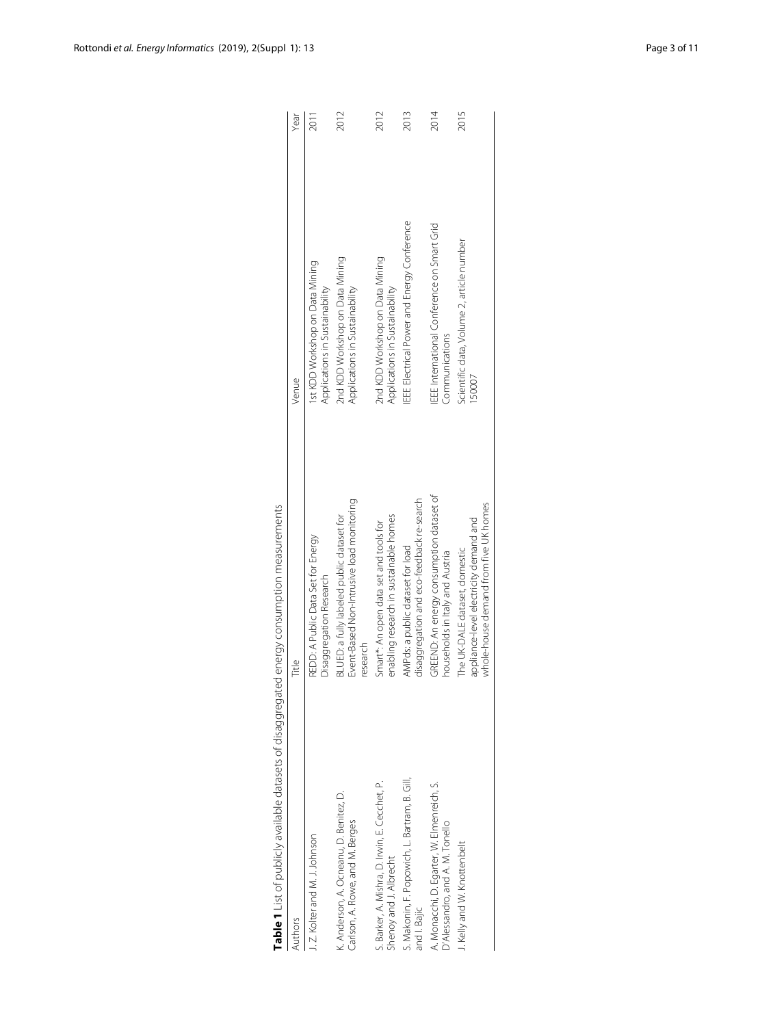<span id="page-2-0"></span>

| Authors                                                                       | Fitle                                                                                                            | Venue                                                                | Year |
|-------------------------------------------------------------------------------|------------------------------------------------------------------------------------------------------------------|----------------------------------------------------------------------|------|
| J. Z. Kolter and M. J. Johnson                                                | REDD: A Public Data Set for Energy<br>Disaggregation Research                                                    | 1st KDD Workshop on Data Mining<br>Applications in Sustainability    | 2011 |
| K. Anderson, A. Ocneanu, D. Benitez, D.<br>Carlson, A. Rowe, and M. Berges    | Event-Based Non-Intrusive load monitoring<br>BLUED: a fully labeled public dataset for<br>research               | 2nd KDD Workshop on Data Mining<br>Applications in Sustainability    | 2012 |
| S. Barker, A. Mishra, D. Irwin, E. Cecchet, P.<br>Shenoy and J. Albrecht      | enabling research in sustainable homes<br>Smart*: An open data set and tools for                                 | 2nd KDD Workshop on Data Mining<br>Applications in Sustainability    | 2012 |
| S. Makonin, F. Popowich, L. Bartram, B. Gill,<br>and I. Bajic                 | disaggregation and eco-feedback re-search<br>AMPds: a public dataset for load                                    | <b>IEEE</b> Electrical Power and Energy Conference                   | 2013 |
| A. Monacchi, D. Egarter, W. Elmenreich, S.<br>D'Alessandro, and A. M. Tonello | GREEND: An energy consumption dataset of<br>households in Italy and Austria                                      | <b>IEEE</b> International Conference on Smart Grid<br>Communications | 2014 |
| J. Kelly and W. Knottenbelt                                                   | whole-house demand from five UK homes<br>appliance-level electricity demand and<br>The UK-DALE dataset, domestic | Scientific data, Volume 2, article number<br>150007                  | 2015 |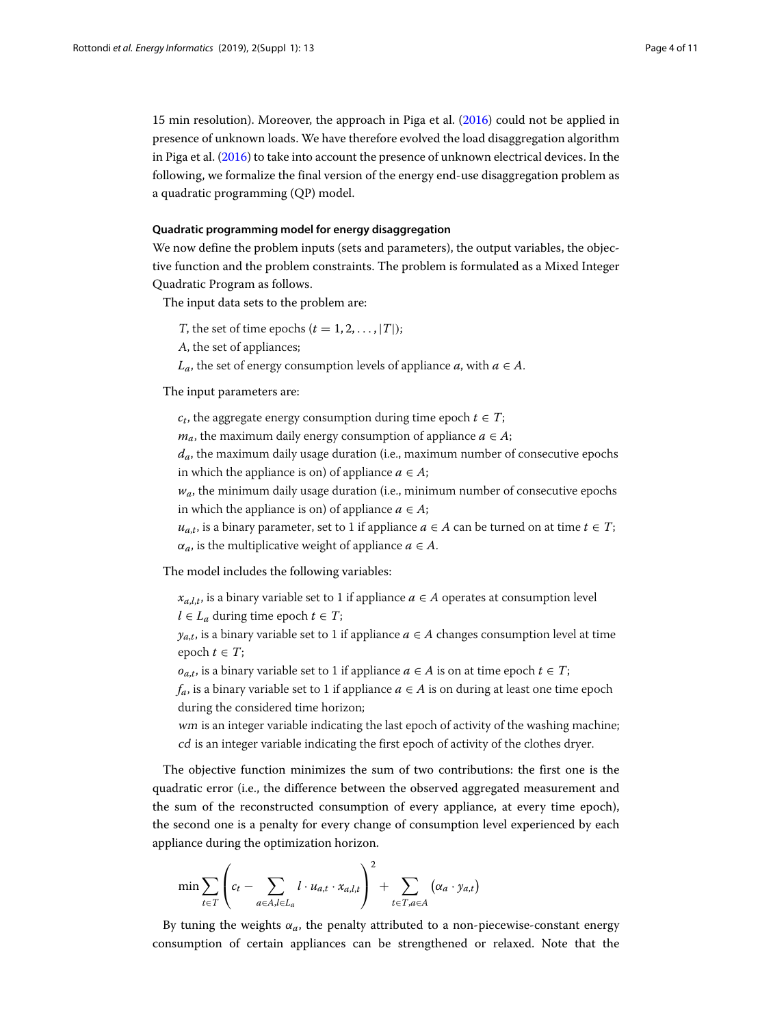15 min resolution). Moreover, the approach in Piga et al. [\(2016\)](#page-10-0) could not be applied in presence of unknown loads. We have therefore evolved the load disaggregation algorithm in Piga et al. [\(2016\)](#page-10-0) to take into account the presence of unknown electrical devices. In the following, we formalize the final version of the energy end-use disaggregation problem as a quadratic programming (QP) model.

# **Quadratic programming model for energy disaggregation**

We now define the problem inputs (sets and parameters), the output variables, the objective function and the problem constraints. The problem is formulated as a Mixed Integer Quadratic Program as follows.

The input data sets to the problem are:

T, the set of time epochs  $(t = 1, 2, \ldots, |T|)$ ;

<sup>A</sup>, the set of appliances;

*L<sub>a</sub>*, the set of energy consumption levels of appliance *a*, with  $a \in A$ .

## The input parameters are:

 $c_t$ , the aggregate energy consumption during time epoch  $t \in T$ ;

*m<sub>a*</sub>, the maximum daily energy consumption of appliance  $a \in A$ ;

*da*, the maximum daily usage duration (i.e., maximum number of consecutive epochs in which the appliance is on) of appliance  $a \in A$ ;

 $w_a$ , the minimum daily usage duration (i.e., minimum number of consecutive epochs in which the appliance is on) of appliance  $a \in A$ ;

 $u_{a,t}$ , is a binary parameter, set to 1 if appliance  $a \in A$  can be turned on at time  $t \in T$ ;  $\alpha_a$ , is the multiplicative weight of appliance  $a \in A$ .

The model includes the following variables:

 $x_{a,l,t}$ , is a binary variable set to 1 if appliance  $a \in A$  operates at consumption level *l* ∈ *L*<sub>*a*</sub> during time epoch *t* ∈ *T*;

 $y_{a,t}$ , is a binary variable set to 1 if appliance  $a \in A$  changes consumption level at time epoch  $t \in T$ ;

*o*<sub>*a*,*t*</sub>, is a binary variable set to 1 if appliance *a* ∈ *A* is on at time epoch *t* ∈ *T*;

*f<sub>a</sub>*, is a binary variable set to 1 if appliance *a* ∈ *A* is on during at least one time epoch during the considered time horizon;

wm is an integer variable indicating the last epoch of activity of the washing machine; cd is an integer variable indicating the first epoch of activity of the clothes dryer.

The objective function minimizes the sum of two contributions: the first one is the quadratic error (i.e., the difference between the observed aggregated measurement and the sum of the reconstructed consumption of every appliance, at every time epoch), the second one is a penalty for every change of consumption level experienced by each appliance during the optimization horizon.

$$
\min \sum_{t \in T} \left( c_t - \sum_{a \in A, l \in L_a} l \cdot u_{a,t} \cdot x_{a,l,t} \right)^2 + \sum_{t \in T, a \in A} \left( \alpha_a \cdot y_{a,t} \right)
$$

By tuning the weights  $\alpha_a$ , the penalty attributed to a non-piecewise-constant energy consumption of certain appliances can be strengthened or relaxed. Note that the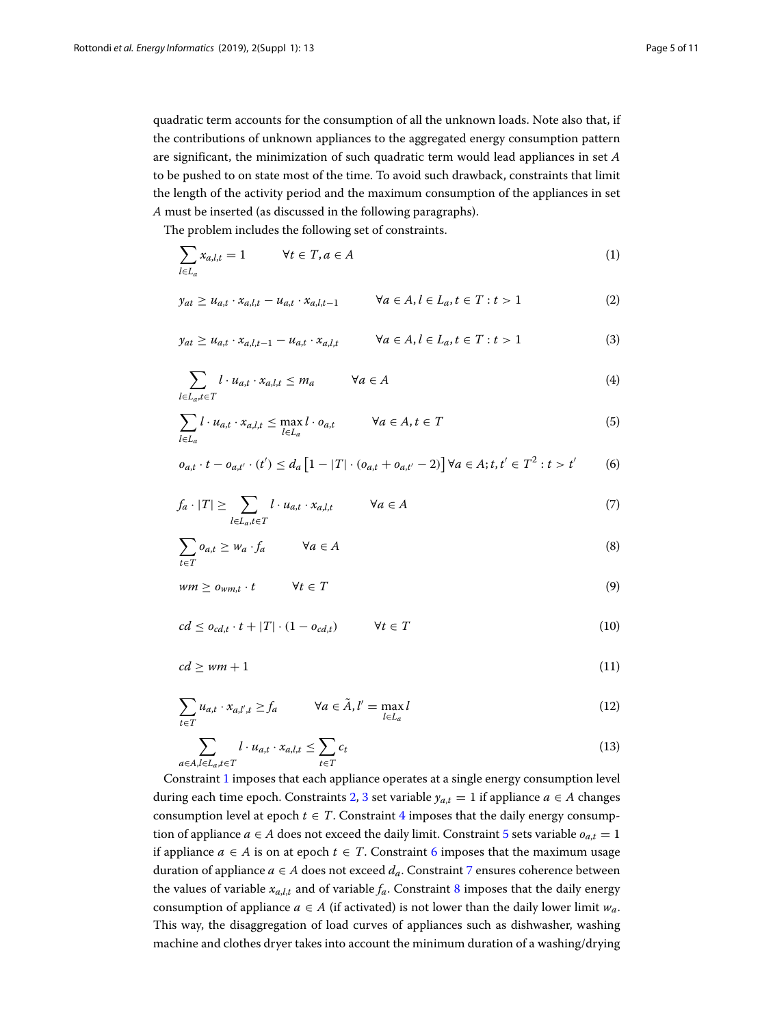quadratic term accounts for the consumption of all the unknown loads. Note also that, if the contributions of unknown appliances to the aggregated energy consumption pattern are significant, the minimization of such quadratic term would lead appliances in set *A* to be pushed to on state most of the time. To avoid such drawback, constraints that limit the length of the activity period and the maximum consumption of the appliances in set *A* must be inserted (as discussed in the following paragraphs).

The problem includes the following set of constraints.

<span id="page-4-1"></span><span id="page-4-0"></span>
$$
\sum_{l \in L_a} x_{a,l,t} = 1 \qquad \forall t \in T, a \in A \tag{1}
$$

<span id="page-4-2"></span>
$$
y_{at} \ge u_{a,t} \cdot x_{a,l,t} - u_{a,t} \cdot x_{a,l,t-1} \qquad \forall a \in A, l \in L_a, t \in T : t > 1
$$
 (2)

<span id="page-4-3"></span>
$$
y_{at} \ge u_{a,t} \cdot x_{a,l,t-1} - u_{a,t} \cdot x_{a,l,t} \qquad \forall a \in A, l \in L_a, t \in T : t > 1
$$
\n
$$
(3)
$$

$$
\sum_{l \in L_a, t \in T} l \cdot u_{a,t} \cdot x_{a,l,t} \le m_a \qquad \forall a \in A \tag{4}
$$

<span id="page-4-4"></span>
$$
\sum_{l \in L_a} l \cdot u_{a,t} \cdot x_{a,l,t} \le \max_{l \in L_a} l \cdot o_{a,t} \qquad \forall a \in A, t \in T
$$
 (5)

<span id="page-4-5"></span>
$$
o_{a,t} \cdot t - o_{a,t'} \cdot (t') \le d_a \left[ 1 - |T| \cdot (o_{a,t} + o_{a,t'} - 2) \right] \forall a \in A; t, t' \in T^2 : t > t'
$$
 (6)

<span id="page-4-7"></span><span id="page-4-6"></span>
$$
f_a \cdot |T| \ge \sum_{l \in L_a, t \in T} l \cdot u_{a,t} \cdot x_{a,l,t} \qquad \forall a \in A
$$
 (7)

<span id="page-4-8"></span>
$$
\sum_{t \in T} o_{a,t} \ge w_a \cdot f_a \qquad \forall a \in A \tag{8}
$$

<span id="page-4-9"></span>
$$
wm \geq o_{wm,t} \cdot t \qquad \forall t \in T \tag{9}
$$

<span id="page-4-10"></span>
$$
cd \le o_{cd,t} \cdot t + |T| \cdot (1 - o_{cd,t}) \qquad \forall t \in T
$$
\n
$$
(10)
$$

<span id="page-4-11"></span>
$$
cd \geq \nu m + 1 \tag{11}
$$

<span id="page-4-12"></span>
$$
\sum_{t \in T} u_{a,t} \cdot x_{a,l',t} \ge f_a \qquad \forall a \in \tilde{A}, l' = \max_{l \in L_a} l \tag{12}
$$

$$
\sum_{a \in A, l \in L_a, t \in T} l \cdot u_{a,t} \cdot x_{a,l,t} \le \sum_{t \in T} c_t \tag{13}
$$

Constraint [1](#page-4-0) imposes that each appliance operates at a single energy consumption level during each time epoch. Constraints [2,](#page-4-1) [3](#page-4-2) set variable  $y_{a,t} = 1$  if appliance  $a \in A$  changes consumption level at epoch  $t \in T$ . Constraint [4](#page-4-3) imposes that the daily energy consumption of appliance  $a \in A$  does not exceed the daily limit. Constraint [5](#page-4-4) sets variable  $o_{a,t} = 1$ if appliance *a* ∈ *A* is on at epoch  $t$  ∈ *T*. Constraint [6](#page-4-5) imposes that the maximum usage duration of appliance  $a \in A$  does not exceed  $d_a$ . Constraint [7](#page-4-6) ensures coherence between the values of variable  $x_{a,l,t}$  and of variable  $f_a$ . Constraint [8](#page-4-7) imposes that the daily energy consumption of appliance  $a \in A$  (if activated) is not lower than the daily lower limit  $w_a$ . This way, the disaggregation of load curves of appliances such as dishwasher, washing machine and clothes dryer takes into account the minimum duration of a washing/drying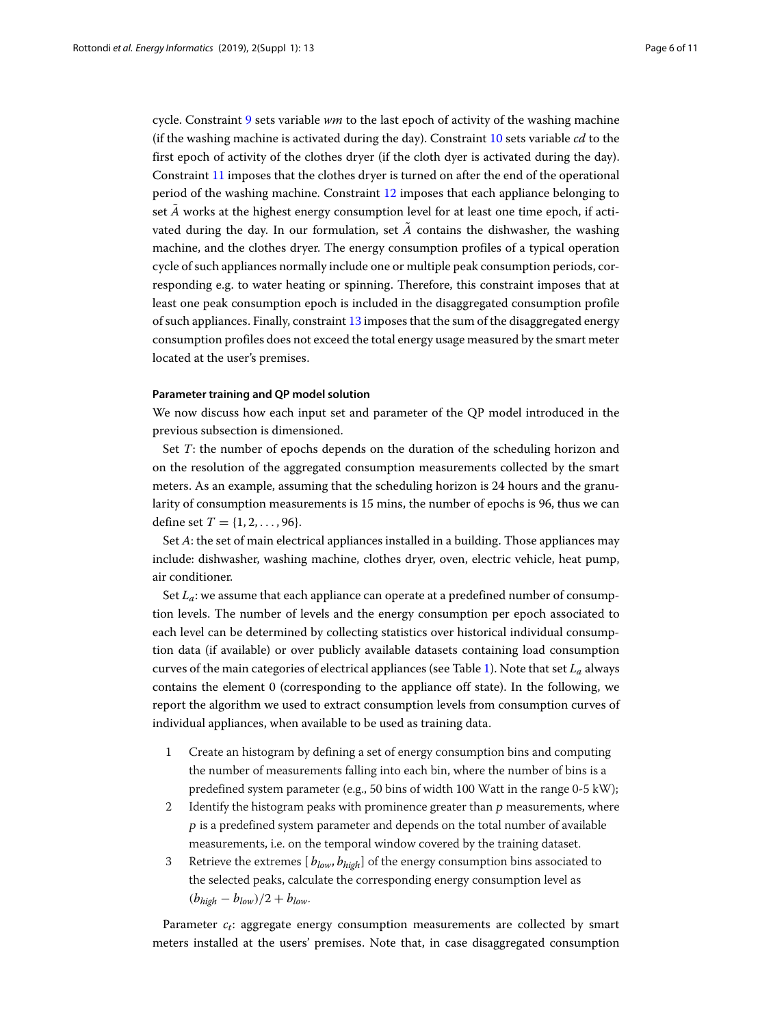cycle. Constraint [9](#page-4-8) sets variable *wm* to the last epoch of activity of the washing machine (if the washing machine is activated during the day). Constraint [10](#page-4-9) sets variable *cd* to the first epoch of activity of the clothes dryer (if the cloth dyer is activated during the day). Constraint [11](#page-4-10) imposes that the clothes dryer is turned on after the end of the operational period of the washing machine. Constraint [12](#page-4-11) imposes that each appliance belonging to set  $\tilde{A}$  works at the highest energy consumption level for at least one time epoch, if activated during the day. In our formulation, set  $\vec{A}$  contains the dishwasher, the washing machine, and the clothes dryer. The energy consumption profiles of a typical operation cycle of such appliances normally include one or multiple peak consumption periods, corresponding e.g. to water heating or spinning. Therefore, this constraint imposes that at least one peak consumption epoch is included in the disaggregated consumption profile of such appliances. Finally, constraint [13](#page-4-12) imposes that the sum of the disaggregated energy consumption profiles does not exceed the total energy usage measured by the smart meter located at the user's premises.

## **Parameter training and QP model solution**

We now discuss how each input set and parameter of the QP model introduced in the previous subsection is dimensioned.

Set *T*: the number of epochs depends on the duration of the scheduling horizon and on the resolution of the aggregated consumption measurements collected by the smart meters. As an example, assuming that the scheduling horizon is 24 hours and the granularity of consumption measurements is 15 mins, the number of epochs is 96, thus we can define set  $T = \{1, 2, ..., 96\}.$ 

Set *A*: the set of main electrical appliances installed in a building. Those appliances may include: dishwasher, washing machine, clothes dryer, oven, electric vehicle, heat pump, air conditioner.

Set  $L_a$ : we assume that each appliance can operate at a predefined number of consumption levels. The number of levels and the energy consumption per epoch associated to each level can be determined by collecting statistics over historical individual consumption data (if available) or over publicly available datasets containing load consumption curves of the main categories of electrical appliances (see Table [1\)](#page-2-0). Note that set *La* always contains the element 0 (corresponding to the appliance off state). In the following, we report the algorithm we used to extract consumption levels from consumption curves of individual appliances, when available to be used as training data.

- 1 Create an histogram by defining a set of energy consumption bins and computing the number of measurements falling into each bin, where the number of bins is a predefined system parameter (e.g., 50 bins of width 100 Watt in the range 0-5 kW);
- 2 Identify the histogram peaks with prominence greater than p measurements, where <sup>p</sup> is a predefined system parameter and depends on the total number of available measurements, i.e. on the temporal window covered by the training dataset.
- 3 Retrieve the extremes [ *blow*, *bhigh*] of the energy consumption bins associated to the selected peaks, calculate the corresponding energy consumption level as  $(b_{high} - b_{low})/2 + b_{low}$ .

Parameter  $c_t$ : aggregate energy consumption measurements are collected by smart meters installed at the users' premises. Note that, in case disaggregated consumption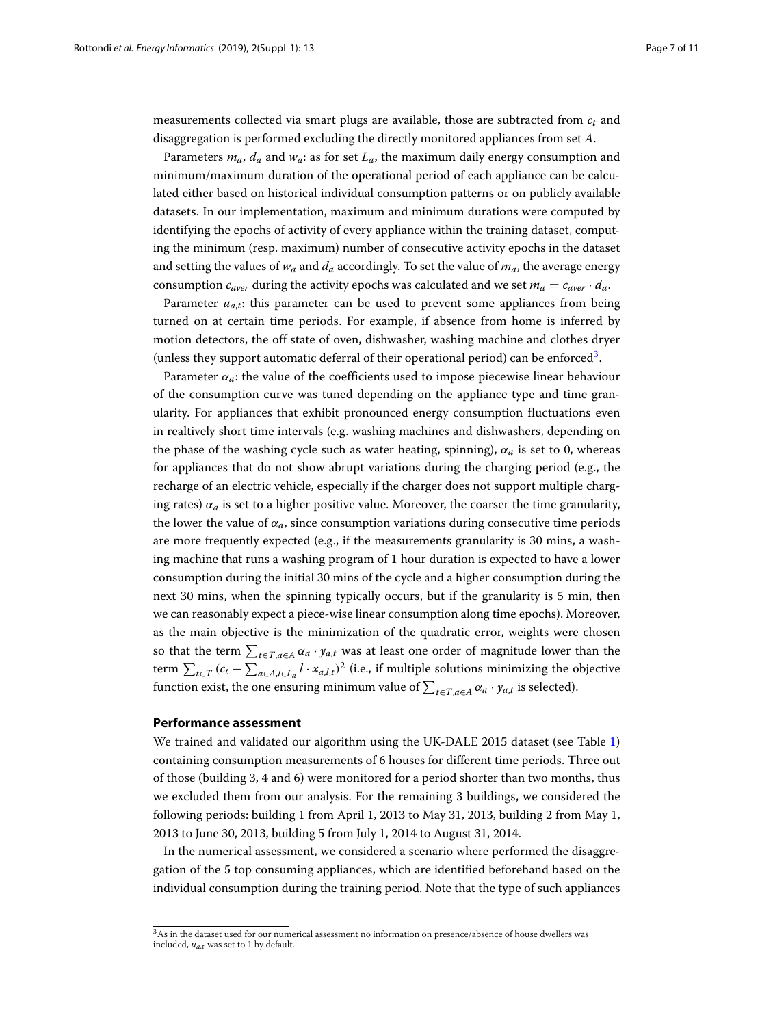measurements collected via smart plugs are available, those are subtracted from *ct* and disaggregation is performed excluding the directly monitored appliances from set *A*.

Parameters  $m_a$ ,  $d_a$  and  $w_a$ : as for set  $L_a$ , the maximum daily energy consumption and minimum/maximum duration of the operational period of each appliance can be calculated either based on historical individual consumption patterns or on publicly available datasets. In our implementation, maximum and minimum durations were computed by identifying the epochs of activity of every appliance within the training dataset, computing the minimum (resp. maximum) number of consecutive activity epochs in the dataset and setting the values of  $w_a$  and  $d_a$  accordingly. To set the value of  $m_a$ , the average energy consumption  $c_{aver}$  during the activity epochs was calculated and we set  $m_a = c_{aver} \cdot d_a$ .

Parameter  $u_{a,t}$ : this parameter can be used to prevent some appliances from being turned on at certain time periods. For example, if absence from home is inferred by motion detectors, the off state of oven, dishwasher, washing machine and clothes dryer (unless they support automatic deferral of their operational period) can be enforced<sup>3</sup>.

Parameter  $\alpha_a$ : the value of the coefficients used to impose piecewise linear behaviour of the consumption curve was tuned depending on the appliance type and time granularity. For appliances that exhibit pronounced energy consumption fluctuations even in realtively short time intervals (e.g. washing machines and dishwashers, depending on the phase of the washing cycle such as water heating, spinning),  $\alpha_a$  is set to 0, whereas for appliances that do not show abrupt variations during the charging period (e.g., the recharge of an electric vehicle, especially if the charger does not support multiple charging rates)  $\alpha_a$  is set to a higher positive value. Moreover, the coarser the time granularity, the lower the value of  $\alpha_a$ , since consumption variations during consecutive time periods are more frequently expected (e.g., if the measurements granularity is 30 mins, a washing machine that runs a washing program of 1 hour duration is expected to have a lower consumption during the initial 30 mins of the cycle and a higher consumption during the next 30 mins, when the spinning typically occurs, but if the granularity is 5 min, then we can reasonably expect a piece-wise linear consumption along time epochs). Moreover, as the main objective is the minimization of the quadratic error, weights were chosen so that the term  $\sum_{t \in T, a \in A} \alpha_a \cdot y_{a,t}$  was at least one order of magnitude lower than the term  $\sum_{t \in T} (c_t - \sum_{a \in A, l \in L_a} l \cdot x_{a,l,t})^2$  (i.e., if multiple solutions minimizing the objective function exist, the one ensuring minimum value of  $\sum_{t \in T, a \in A} \alpha_a \cdot y_{a,t}$  is selected).

### **Performance assessment**

We trained and validated our algorithm using the UK-DALE 2015 dataset (see Table [1\)](#page-2-0) containing consumption measurements of 6 houses for different time periods. Three out of those (building 3, 4 and 6) were monitored for a period shorter than two months, thus we excluded them from our analysis. For the remaining 3 buildings, we considered the following periods: building 1 from April 1, 2013 to May 31, 2013, building 2 from May 1, 2013 to June 30, 2013, building 5 from July 1, 2014 to August 31, 2014.

In the numerical assessment, we considered a scenario where performed the disaggregation of the 5 top consuming appliances, which are identified beforehand based on the individual consumption during the training period. Note that the type of such appliances

<span id="page-6-0"></span><sup>3</sup>As in the dataset used for our numerical assessment no information on presence/absence of house dwellers was included,  $u_{a,t}$  was set to 1 by default.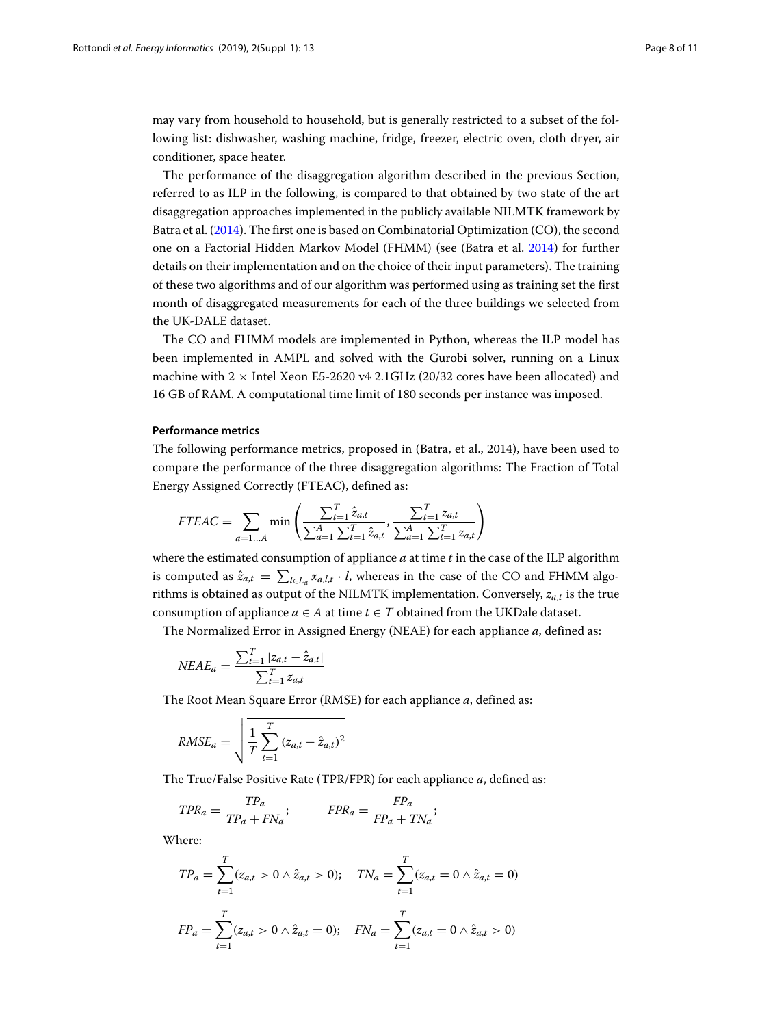may vary from household to household, but is generally restricted to a subset of the following list: dishwasher, washing machine, fridge, freezer, electric oven, cloth dryer, air conditioner, space heater.

The performance of the disaggregation algorithm described in the previous Section, referred to as ILP in the following, is compared to that obtained by two state of the art disaggregation approaches implemented in the publicly available NILMTK framework by Batra et al. [\(2014\)](#page-10-1). The first one is based on Combinatorial Optimization (CO), the second one on a Factorial Hidden Markov Model (FHMM) (see (Batra et al. [2014\)](#page-10-1) for further details on their implementation and on the choice of their input parameters). The training of these two algorithms and of our algorithm was performed using as training set the first month of disaggregated measurements for each of the three buildings we selected from the UK-DALE dataset.

The CO and FHMM models are implemented in Python, whereas the ILP model has been implemented in AMPL and solved with the Gurobi solver, running on a Linux machine with  $2 \times$  Intel Xeon E5-2620 v4 2.1GHz (20/32 cores have been allocated) and 16 GB of RAM. A computational time limit of 180 seconds per instance was imposed.

## **Performance metrics**

The following performance metrics, proposed in (Batra, et al., 2014), have been used to compare the performance of the three disaggregation algorithms: The Fraction of Total Energy Assigned Correctly (FTEAC), defined as:

$$
FTEAC = \sum_{a=1...A} \min \left( \frac{\sum_{t=1}^{T} \hat{z}_{a,t}}{\sum_{a=1}^{A} \sum_{t=1}^{T} \hat{z}_{a,t}}, \frac{\sum_{t=1}^{T} z_{a,t}}{\sum_{a=1}^{A} \sum_{t=1}^{T} z_{a,t}} \right)
$$

where the estimated consumption of appliance *a* at time *t* in the case of the ILP algorithm is computed as  $\hat{z}_{a,t} = \sum_{l \in L_a} x_{a,l,t} \cdot l$ , whereas in the case of the CO and FHMM algorithms is obtained as output of the NILMTK implementation. Conversely, *za*,*<sup>t</sup>* is the true consumption of appliance  $a \in A$  at time  $t \in T$  obtained from the UKDale dataset.

The Normalized Error in Assigned Energy (NEAE) for each appliance *a*, defined as:

$$
NEAE_a = \frac{\sum_{t=1}^{T} |z_{a,t} - \hat{z}_{a,t}|}{\sum_{t=1}^{T} z_{a,t}}
$$

The Root Mean Square Error (RMSE) for each appliance *a*, defined as:

RMSE<sub>a</sub> = 
$$
\sqrt{\frac{1}{T} \sum_{t=1}^{T} (z_{a,t} - \hat{z}_{a,t})^2}
$$

The True/False Positive Rate (TPR/FPR) for each appliance *a*, defined as:

$$
TPR_a = \frac{TP_a}{TP_a + FN_a}; \qquad \text{FPR}_a = \frac{FP_a}{FP_a + TN_a};
$$

Where:

$$
TP_a = \sum_{t=1}^{T} (z_{a,t} > 0 \land \hat{z}_{a,t} > 0); \quad TN_a = \sum_{t=1}^{T} (z_{a,t} = 0 \land \hat{z}_{a,t} = 0)
$$

$$
FP_a = \sum_{t=1}^{T} (z_{a,t} > 0 \land \hat{z}_{a,t} = 0); \quad FN_a = \sum_{t=1}^{T} (z_{a,t} = 0 \land \hat{z}_{a,t} > 0)
$$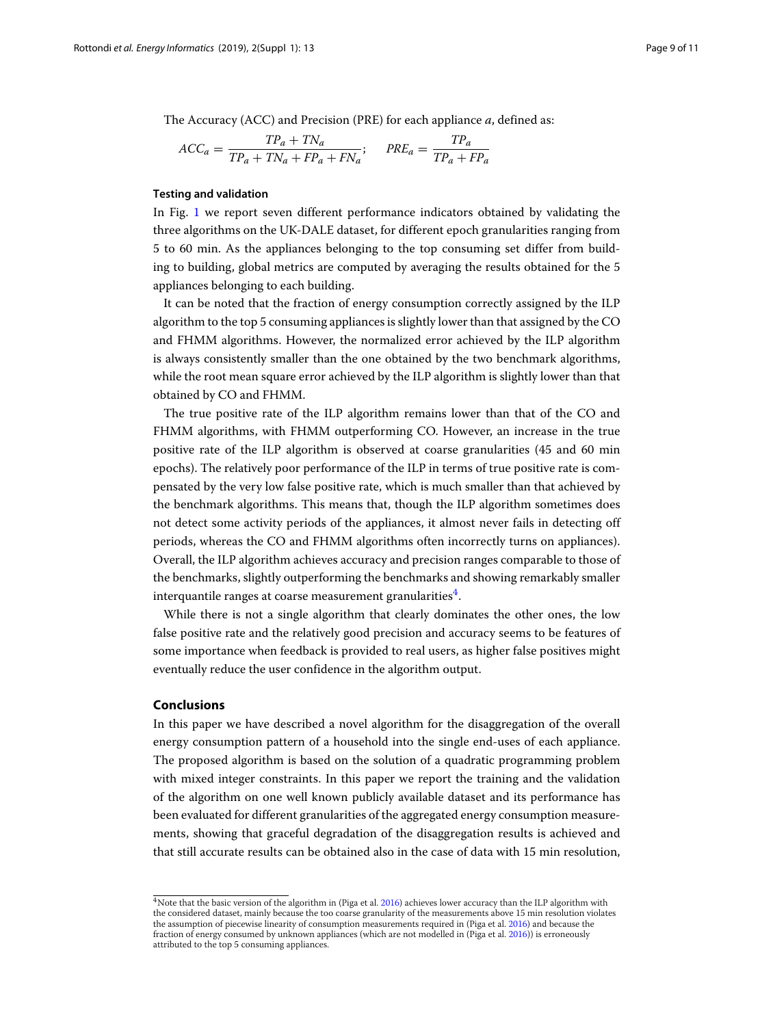The Accuracy (ACC) and Precision (PRE) for each appliance *a*, defined as:

$$
ACC_a = \frac{TP_a + TN_a}{TP_a + TN_a + FP_a + FN_a}; \quad PRE_a = \frac{TP_a}{TP_a + FP_a}
$$

## **Testing and validation**

In Fig. [1](#page-9-0) we report seven different performance indicators obtained by validating the three algorithms on the UK-DALE dataset, for different epoch granularities ranging from 5 to 60 min. As the appliances belonging to the top consuming set differ from building to building, global metrics are computed by averaging the results obtained for the 5 appliances belonging to each building.

It can be noted that the fraction of energy consumption correctly assigned by the ILP algorithm to the top 5 consuming appliances is slightly lower than that assigned by the CO and FHMM algorithms. However, the normalized error achieved by the ILP algorithm is always consistently smaller than the one obtained by the two benchmark algorithms, while the root mean square error achieved by the ILP algorithm is slightly lower than that obtained by CO and FHMM.

The true positive rate of the ILP algorithm remains lower than that of the CO and FHMM algorithms, with FHMM outperforming CO. However, an increase in the true positive rate of the ILP algorithm is observed at coarse granularities (45 and 60 min epochs). The relatively poor performance of the ILP in terms of true positive rate is compensated by the very low false positive rate, which is much smaller than that achieved by the benchmark algorithms. This means that, though the ILP algorithm sometimes does not detect some activity periods of the appliances, it almost never fails in detecting off periods, whereas the CO and FHMM algorithms often incorrectly turns on appliances). Overall, the ILP algorithm achieves accuracy and precision ranges comparable to those of the benchmarks, slightly outperforming the benchmarks and showing remarkably smaller interquantile ranges at coarse measurement granularities $4$ .

While there is not a single algorithm that clearly dominates the other ones, the low false positive rate and the relatively good precision and accuracy seems to be features of some importance when feedback is provided to real users, as higher false positives might eventually reduce the user confidence in the algorithm output.

## **Conclusions**

In this paper we have described a novel algorithm for the disaggregation of the overall energy consumption pattern of a household into the single end-uses of each appliance. The proposed algorithm is based on the solution of a quadratic programming problem with mixed integer constraints. In this paper we report the training and the validation of the algorithm on one well known publicly available dataset and its performance has been evaluated for different granularities of the aggregated energy consumption measurements, showing that graceful degradation of the disaggregation results is achieved and that still accurate results can be obtained also in the case of data with 15 min resolution,

<span id="page-8-0"></span><sup>&</sup>lt;sup>4</sup>Note that the basic version of the algorithm in (Piga et al. [2016\)](#page-10-0) achieves lower accuracy than the ILP algorithm with the considered dataset, mainly because the too coarse granularity of the measurements above 15 min resolution violates the assumption of piecewise linearity of consumption measurements required in (Piga et al. [2016\)](#page-10-0) and because the fraction of energy consumed by unknown appliances (which are not modelled in (Piga et al. [2016\)](#page-10-0)) is erroneously attributed to the top 5 consuming appliances.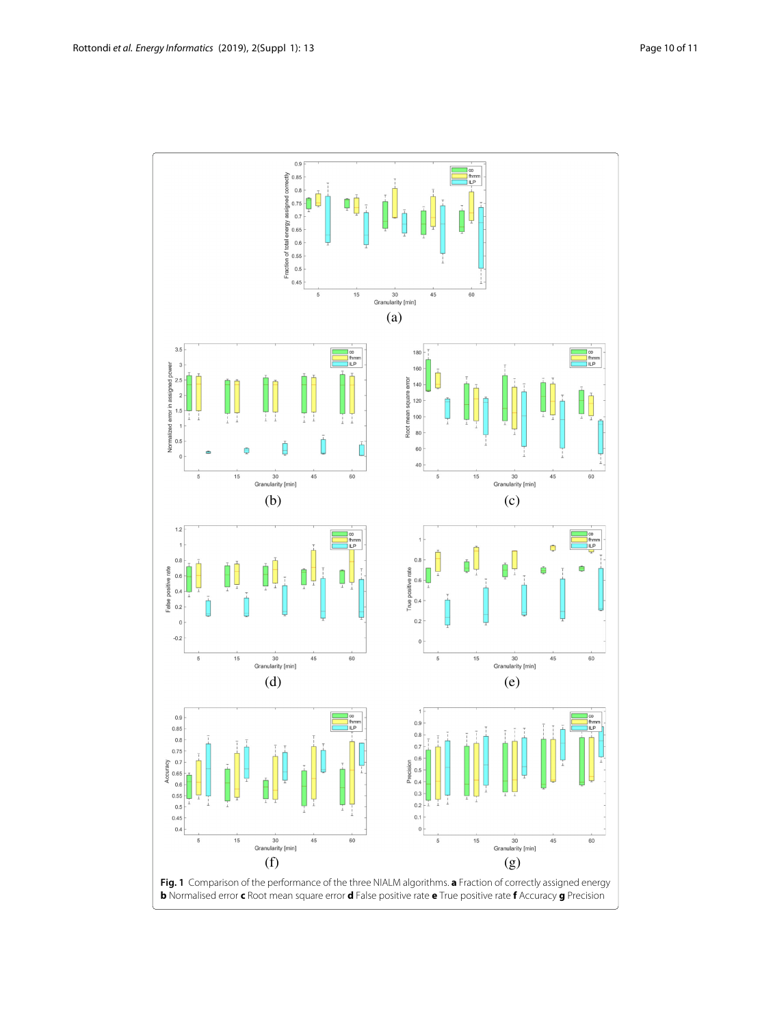<span id="page-9-0"></span>